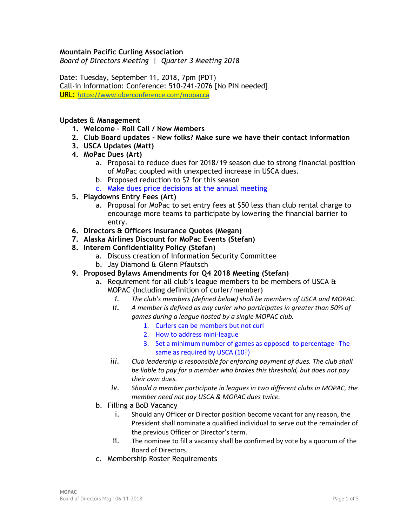#### **Mountain Pacific Curling Association**

*Board of Directors Meeting | Quarter 3 Meeting 2018*

Date: Tuesday, September 11, 2018, 7pm (PDT) Call-in Information: Conference: 510-241-2076 [No PIN needed] URL: <https://www.uberconference.com/mopacca>

#### **Updates & Management**

- **1. Welcome - Roll Call / New Members**
- **2. Club Board updates - New folks? Make sure we have their contact information**
- **3. USCA Updates (Matt)**
- **4. MoPac Dues (Art)**
	- a. Proposal to reduce dues for 2018/19 season due to strong financial position of MoPac coupled with unexpected increase in USCA dues.
	- b. Proposed reduction to \$2 for this season
	- c. Make dues price decisions at the annual meeting
- **5. Playdowns Entry Fees (Art)**
	- a. Proposal for MoPac to set entry fees at \$50 less than club rental charge to encourage more teams to participate by lowering the financial barrier to entry.
- **6. Directors & Officers Insurance Quotes (Megan)**
- **7. Alaska Airlines Discount for MoPac Events (Stefan)**
- **8. Interem Confidentiality Policy (Stefan)**
	- a. Discuss creation of Information Security Committee
	- b. Jay Diamond & Glenn Pfautsch
- **9. Proposed Bylaws Amendments for Q4 2018 Meeting (Stefan)**
	- a. Requirement for all club's league members to be members of USCA & MOPAC (Including definition of curler/member)
		- *i. The club's members (defined below) shall be members of USCA and MOPAC.*
		- *ii. A member is defined as any curler who participates in greater than 50% of games during a league hosted by a single MOPAC club.*
			- 1. Curlers can be members but not curl
			- 2. How to address mini-league
			- 3. Set a minimum number of games as opposed to percentage--The same as required by USCA (10?)
		- *iii. Club leadership is responsible for enforcing payment of dues. The club shall be liable to pay for a member who brakes this threshold, but does not pay their own dues.*
		- *iv. Should a member participate in leagues in two different clubs in MOPAC, the member need not pay USCA & MOPAC dues twice.*
	- b. Filling a BoD Vacancy
		- i. Should any Officer or Director position become vacant for any reason, the President shall nominate a qualified individual to serve out the remainder of the previous Officer or Director's term.
		- ii. The nominee to fill a vacancy shall be confirmed by vote by a quorum of the Board of Directors.
	- c. Membership Roster Requirements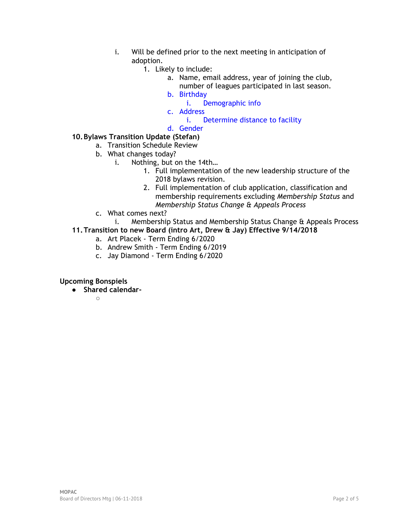- i. Will be defined prior to the next meeting in anticipation of adoption.
	- 1. Likely to include:
		- a. Name, email address, year of joining the club,
			- number of leagues participated in last season.
		- b. Birthday
			- i. Demographic info
		- c. Address

i. Determine distance to facility

d. Gender

# **10.Bylaws Transition Update (Stefan)**

- a. Transition Schedule Review
- b. What changes today?
	- i. Nothing, but on the 14th…
		- 1. Full implementation of the new leadership structure of the 2018 bylaws revision.
		- 2. Full implementation of club application, classification and membership requirements excluding *Membership Status* and *Membership Status Change & Appeals Process*
- c. What comes next?
	- i. Membership Status and Membership Status Change & Appeals Process
- **11.Transition to new Board (intro Art, Drew & Jay) Effective 9/14/2018**
	- a. Art Placek Term Ending 6/2020
	- b. Andrew Smith Term Ending 6/2019
	- c. Jay Diamond Term Ending 6/2020

## **Upcoming Bonspiels**

● **Shared calendar-**

 $\bigcap$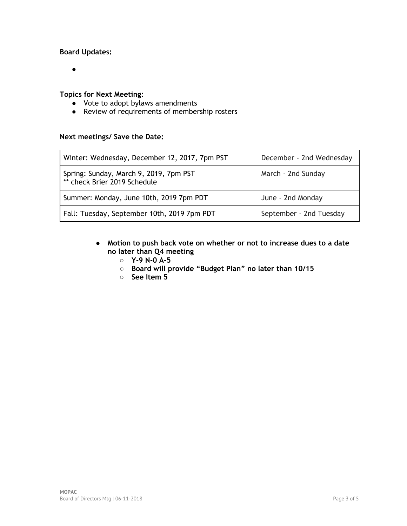## **Board Updates:**

 $\bullet$ 

#### **Topics for Next Meeting:**

- Vote to adopt bylaws amendments
- Review of requirements of membership rosters

## **Next meetings/ Save the Date:**

| Winter: Wednesday, December 12, 2017, 7pm PST                          | December - 2nd Wednesday |
|------------------------------------------------------------------------|--------------------------|
| Spring: Sunday, March 9, 2019, 7pm PST<br>** check Brier 2019 Schedule | March - 2nd Sunday       |
| Summer: Monday, June 10th, 2019 7pm PDT                                | June - 2nd Monday        |
| Fall: Tuesday, September 10th, 2019 7pm PDT                            | September - 2nd Tuesday  |

- **Motion to push back vote on whether or not to increase dues to a date no later than Q4 meeting**
	- **Y-9 N-0 A-5**
	- **Board will provide "Budget Plan" no later than 10/15**
	- **See Item 5**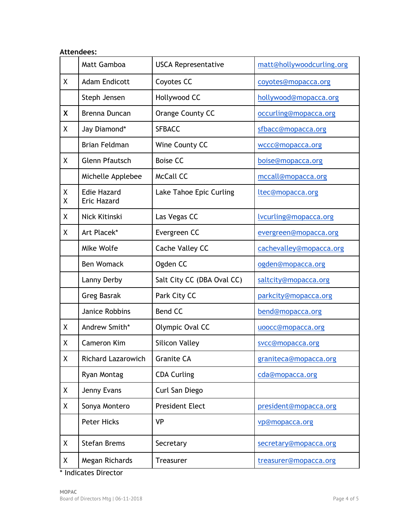| <b>Attendees:</b> |                                          |                            |                           |  |
|-------------------|------------------------------------------|----------------------------|---------------------------|--|
|                   | Matt Gamboa                              | <b>USCA Representative</b> | matt@hollywoodcurling.org |  |
| X                 | <b>Adam Endicott</b>                     | Coyotes CC                 | coyotes@mopacca.org       |  |
|                   | Steph Jensen                             | Hollywood CC               | hollywood@mopacca.org     |  |
| X                 | Brenna Duncan                            | Orange County CC           | occurling@mopacca.org     |  |
| χ                 | Jay Diamond*                             | <b>SFBACC</b>              | sfbacc@mopacca.org        |  |
|                   | <b>Brian Feldman</b>                     | Wine County CC             | wccc@mopacca.org          |  |
| X                 | <b>Glenn Pfautsch</b>                    | <b>Boise CC</b>            | boise@mopacca.org         |  |
|                   | Michelle Applebee                        | <b>McCall CC</b>           | mccall@mopacca.org        |  |
| Χ<br>Χ            | <b>Edie Hazard</b><br><b>Eric Hazard</b> | Lake Tahoe Epic Curling    | ltec@mopacca.org          |  |
| Χ                 | Nick Kitinski                            | Las Vegas CC               | lvcurling@mopacca.org     |  |
| X                 | Art Placek*                              | Evergreen CC               | evergreen@mopacca.org     |  |
|                   | <b>Mlke Wolfe</b>                        | Cache Valley CC            | cachevalley@mopacca.org   |  |
|                   | <b>Ben Womack</b>                        | Ogden CC                   | ogden@mopacca.org         |  |
|                   | Lanny Derby                              | Salt City CC (DBA Oval CC) | saltcity@mopacca.org      |  |
|                   | <b>Greg Basrak</b>                       | Park City CC               | parkcity@mopacca.org      |  |
|                   | Janice Robbins                           | <b>Bend CC</b>             | bend@mopacca.org          |  |
| Χ                 | Andrew Smith*                            | Olympic Oval CC            | uoocc@mopacca.org         |  |
| Χ                 | Cameron Kim                              | <b>Silicon Valley</b>      | svcc@mopacca.org          |  |
| Χ                 | <b>Richard Lazarowich</b>                | <b>Granite CA</b>          | graniteca@mopacca.org     |  |
|                   | Ryan Montag                              | <b>CDA Curling</b>         | cda@mopacca.org           |  |
| Χ                 | Jenny Evans                              | Curl San Diego             |                           |  |
| Χ                 | Sonya Montero                            | <b>President Elect</b>     | president@mopacca.org     |  |
|                   | <b>Peter Hicks</b>                       | <b>VP</b>                  | vp@mopacca.org            |  |
| Χ                 | <b>Stefan Brems</b>                      | Secretary                  | secretary@mopacca.org     |  |
| X                 | Megan Richards                           | <b>Treasurer</b>           | treasurer@mopacca.org     |  |

\* Indicates Director